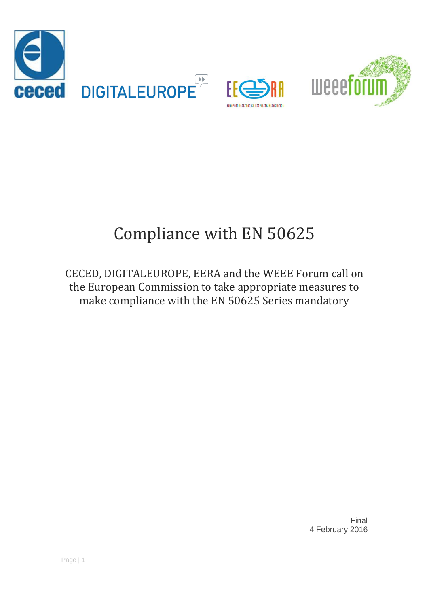





# Compliance with EN 50625

CECED, DIGITALEUROPE, EERA and the WEEE Forum call on the European Commission to take appropriate measures to make compliance with the EN 50625 Series mandatory

> Final 4 February 2016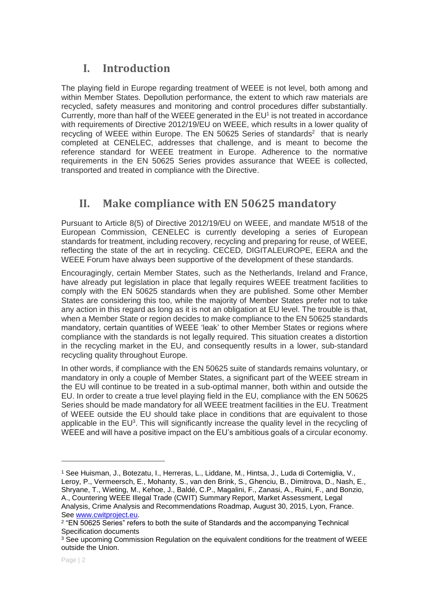## **I. Introduction**

The playing field in Europe regarding treatment of WEEE is not level, both among and within Member States. Depollution performance, the extent to which raw materials are recycled, safety measures and monitoring and control procedures differ substantially. Currently, more than half of the WEEE generated in the  $EU<sup>1</sup>$  is not treated in accordance with requirements of Directive 2012/19/EU on WEEE, which results in a lower quality of recycling of WEEE within Europe. The EN 50625 Series of standards<sup>2</sup> that is nearly completed at CENELEC, addresses that challenge, and is meant to become the reference standard for WEEE treatment in Europe. Adherence to the normative requirements in the EN 50625 Series provides assurance that WEEE is collected, transported and treated in compliance with the Directive.

## **II. Make compliance with EN 50625 mandatory**

Pursuant to Article 8(5) of Directive 2012/19/EU on WEEE, and mandate M/518 of the European Commission, CENELEC is currently developing a series of European standards for treatment, including recovery, recycling and preparing for reuse, of WEEE, reflecting the state of the art in recycling. CECED, DIGITALEUROPE, EERA and the WEEE Forum have always been supportive of the development of these standards.

Encouragingly, certain Member States, such as the Netherlands, Ireland and France, have already put legislation in place that legally requires WEEE treatment facilities to comply with the EN 50625 standards when they are published. Some other Member States are considering this too, while the majority of Member States prefer not to take any action in this regard as long as it is not an obligation at EU level. The trouble is that, when a Member State or region decides to make compliance to the EN 50625 standards mandatory, certain quantities of WEEE 'leak' to other Member States or regions where compliance with the standards is not legally required. This situation creates a distortion in the recycling market in the EU, and consequently results in a lower, sub-standard recycling quality throughout Europe.

In other words, if compliance with the EN 50625 suite of standards remains voluntary, or mandatory in only a couple of Member States, a significant part of the WEEE stream in the EU will continue to be treated in a sub-optimal manner, both within and outside the EU. In order to create a true level playing field in the EU, compliance with the EN 50625 Series should be made mandatory for all WEEE treatment facilities in the EU. Treatment of WEEE outside the EU should take place in conditions that are equivalent to those applicable in the  $EU^3$ . This will significantly increase the quality level in the recycling of WEEE and will have a positive impact on the EU's ambitious goals of a circular economy.

-

<sup>1</sup> See Huisman, J., Botezatu, I., Herreras, L., Liddane, M., Hintsa, J., Luda di Cortemiglia, V., Leroy, P., Vermeersch, E., Mohanty, S., van den Brink, S., Ghenciu, B., Dimitrova, D., Nash, E., Shryane, T., Wieting, M., Kehoe, J., Baldé, C.P., Magalini, F., Zanasi, A., Ruini, F., and Bonzio, A., Countering WEEE Illegal Trade (CWIT) Summary Report, Market Assessment, Legal Analysis, Crime Analysis and Recommendations Roadmap, August 30, 2015, Lyon, France. See [www.cwitproject.eu.](http://www.cwitproject.eu/)

<sup>2</sup> "EN 50625 Series" refers to both the suite of Standards and the accompanying Technical Specification documents

<sup>&</sup>lt;sup>3</sup> See upcoming Commission Regulation on the equivalent conditions for the treatment of WEEE outside the Union.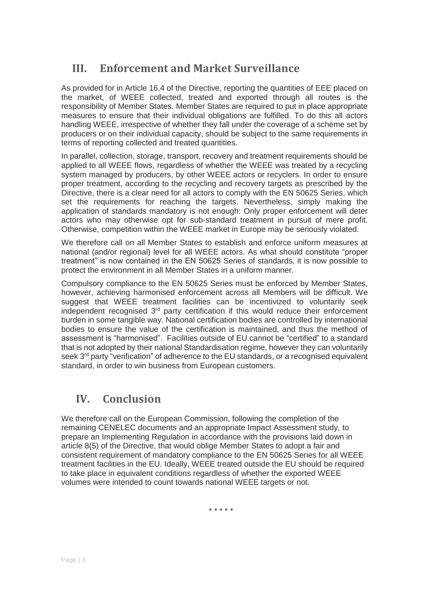### **III. Enforcement and Market Surveillance**

As provided for in Article 16.4 of the Directive, reporting the quantities of EEE placed on the market, of WEEE collected, treated and exported through all routes is the responsibility of Member States. Member States are required to put in place appropriate measures to ensure that their individual obligations are fulfilled. To do this all actors handling WEEE, irrespective of whether they fall under the coverage of a scheme set by producers or on their individual capacity, should be subject to the same requirements in terms of reporting collected and treated quantities.

In parallel, collection, storage, transport, recovery and treatment requirements should be applied to all WEEE flows, regardless of whether the WEEE was treated by a recycling system managed by producers, by other WEEE actors or recyclers. In order to ensure proper treatment, according to the recycling and recovery targets as prescribed by the Directive, there is a clear need for all actors to comply with the EN 50625 Series, which set the requirements for reaching the targets. Nevertheless, simply making the application of standards mandatory is not enough: Only proper enforcement will deter actors who may otherwise opt for sub-standard treatment in pursuit of mere profit. Otherwise, competition within the WEEE market in Europe may be seriously violated.

We therefore call on all Member States to establish and enforce uniform measures at national (and/or regional) level for all WEEE actors. As what should constitute "proper treatment" is now contained in the EN 50625 Series of standards, it is now possible to protect the environment in all Member States in a uniform manner.

Compulsory compliance to the EN 50625 Series must be enforced by Member States, however, achieving harmonised enforcement across all Members will be difficult. We suggest that WEEE treatment facilities can be incentivized to voluntarily seek independent recognised  $3<sup>rd</sup>$  party certification if this would reduce their enforcement burden in some tangible way. National certification bodies are controlled by international bodies to ensure the value of the certification is maintained, and thus the method of assessment is "harmonised". Facilities outside of EU cannot be "certified" to a standard that is not adopted by their national Standardisation regime, however they can voluntarily seek 3<sup>rd</sup> party "verification" of adherence to the EU standards, or a recognised equivalent standard, in order to win business from European customers.

## **IV. Conclusion**

We therefore call on the European Commission, following the completion of the remaining CENELEC documents and an appropriate Impact Assessment study, to prepare an Implementing Regulation in accordance with the provisions laid down in article 8(5) of the Directive, that would oblige Member States to adopt a fair and consistent requirement of mandatory compliance to the EN 50625 Series for all WEEE treatment facilities in the EU. Ideally, WEEE treated outside the EU should be required to take place in equivalent conditions regardless of whether the exported WEEE volumes were intended to count towards national WEEE targets or not.

\* \* \* \* \*